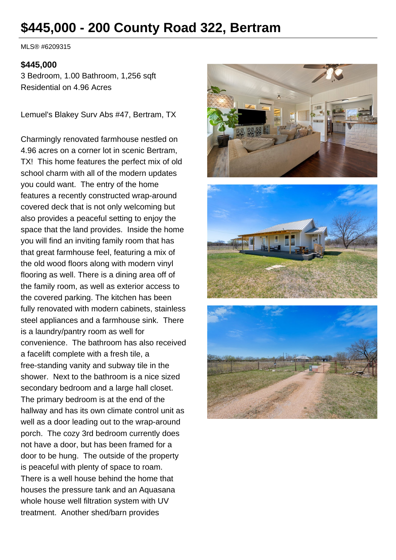# **\$445,000 - 200 County Road 322, Bertram**

MLS® #6209315

#### **\$445,000**

3 Bedroom, 1.00 Bathroom, 1,256 sqft Residential on 4.96 Acres

Lemuel's Blakey Surv Abs #47, Bertram, TX

Charmingly renovated farmhouse nestled on 4.96 acres on a corner lot in scenic Bertram, TX! This home features the perfect mix of old school charm with all of the modern updates you could want. The entry of the home features a recently constructed wrap-around covered deck that is not only welcoming but also provides a peaceful setting to enjoy the space that the land provides. Inside the home you will find an inviting family room that has that great farmhouse feel, featuring a mix of the old wood floors along with modern vinyl flooring as well. There is a dining area off of the family room, as well as exterior access to the covered parking. The kitchen has been fully renovated with modern cabinets, stainless steel appliances and a farmhouse sink. There is a laundry/pantry room as well for convenience. The bathroom has also received a facelift complete with a fresh tile, a free-standing vanity and subway tile in the shower. Next to the bathroom is a nice sized secondary bedroom and a large hall closet. The primary bedroom is at the end of the hallway and has its own climate control unit as well as a door leading out to the wrap-around porch. The cozy 3rd bedroom currently does not have a door, but has been framed for a door to be hung. The outside of the property is peaceful with plenty of space to roam. There is a well house behind the home that houses the pressure tank and an Aquasana whole house well filtration system with UV treatment. Another shed/barn provides





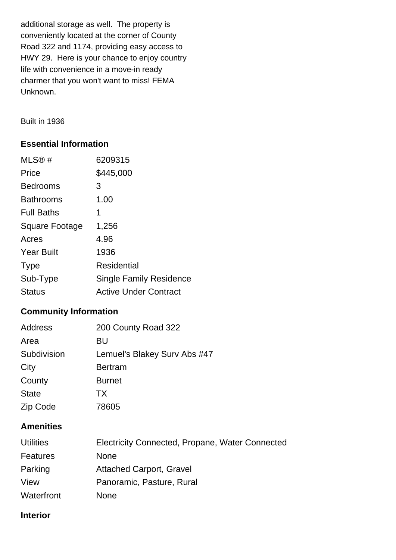additional storage as well. The property is conveniently located at the corner of County Road 322 and 1174, providing easy access to HWY 29. Here is your chance to enjoy country life with convenience in a move-in ready charmer that you won't want to miss! FEMA Unknown.

Built in 1936

## **Essential Information**

| MLS@#                 | 6209315                        |
|-----------------------|--------------------------------|
| Price                 | \$445,000                      |
| <b>Bedrooms</b>       | 3                              |
| <b>Bathrooms</b>      | 1.00                           |
| <b>Full Baths</b>     | 1                              |
| <b>Square Footage</b> | 1,256                          |
| Acres                 | 4.96                           |
| <b>Year Built</b>     | 1936                           |
| <b>Type</b>           | <b>Residential</b>             |
| Sub-Type              | <b>Single Family Residence</b> |
| Status                | <b>Active Under Contract</b>   |

## **Community Information**

| Address      | 200 County Road 322          |
|--------------|------------------------------|
| Area         | BU                           |
| Subdivision  | Lemuel's Blakey Surv Abs #47 |
| City         | <b>Bertram</b>               |
| County       | <b>Burnet</b>                |
| <b>State</b> | <b>TX</b>                    |
| Zip Code     | 78605                        |

## **Amenities**

| <b>Utilities</b> | Electricity Connected, Propane, Water Connected |
|------------------|-------------------------------------------------|
| Features         | <b>None</b>                                     |
| Parking          | <b>Attached Carport, Gravel</b>                 |
| View             | Panoramic, Pasture, Rural                       |
| Waterfront       | <b>None</b>                                     |

## **Interior**